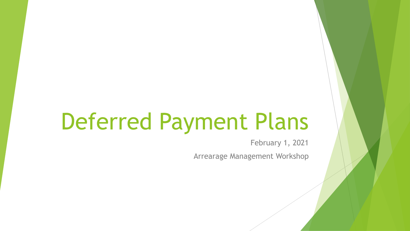# Deferred Payment Plans

February 1, 2021

Arrearage Management Workshop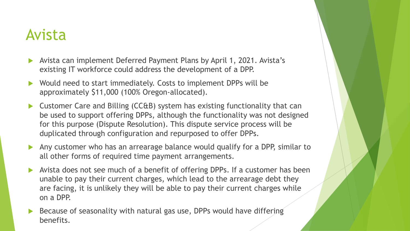#### Avista

- Avista can implement Deferred Payment Plans by April 1, 2021. Avista's existing IT workforce could address the development of a DPP.
- Would need to start immediately. Costs to implement DPPs will be approximately \$11,000 (100% Oregon-allocated).
- ▶ Customer Care and Billing (CC&B) system has existing functionality that can be used to support offering DPPs, although the functionality was not designed for this purpose (Dispute Resolution). This dispute service process will be duplicated through configuration and repurposed to offer DPPs.
- Any customer who has an arrearage balance would qualify for a DPP, similar to all other forms of required time payment arrangements.
- Avista does not see much of a benefit of offering DPPs. If a customer has been unable to pay their current charges, which lead to the arrearage debt they are facing, it is unlikely they will be able to pay their current charges while on a DPP.
- Because of seasonality with natural gas use, DPPs would have differing benefits.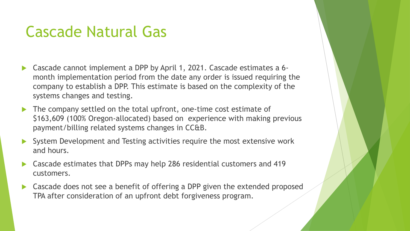#### Cascade Natural Gas

- Cascade cannot implement a DPP by April 1, 2021. Cascade estimates a 6 month implementation period from the date any order is issued requiring the company to establish a DPP. This estimate is based on the complexity of the systems changes and testing.
- The company settled on the total upfront, one-time cost estimate of \$163,609 (100% Oregon-allocated) based on experience with making previous payment/billing related systems changes in CC&B.
- System Development and Testing activities require the most extensive work and hours.
- Cascade estimates that DPPs may help 286 residential customers and 419 customers.
- Cascade does not see a benefit of offering a DPP given the extended proposed TPA after consideration of an upfront debt forgiveness program.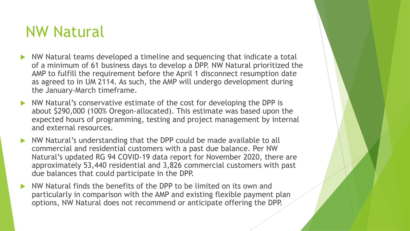#### NW Natural

- NW Natural teams developed a timeline and sequencing that indicate a total of a minimum of 61 business days to develop a DPP. NW Natural prioritized the AMP to fulfill the requirement before the April 1 disconnect resumption date as agreed to in UM 2114. As such, the AMP will undergo development during the January-March timeframe.
- NW Natural's conservative estimate of the cost for developing the DPP is about \$290,000 (100% Oregon-allocated). This estimate was based upon the expected hours of programming, testing and project management by internal and external resources.
- NW Natural's understanding that the DPP could be made available to all commercial and residential customers with a past due balance. Per NW Natural's updated RG 94 COVID-19 data report for November 2020, there are approximately 53,440 residential and 3,826 commercial customers with past due balances that could participate in the DPP.
- NW Natural finds the benefits of the DPP to be limited on its own and particularly in comparison with the AMP and existing flexible payment plan options, NW Natural does not recommend or anticipate offering the DPP.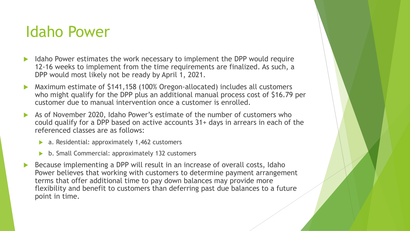#### Idaho Power

- Idaho Power estimates the work necessary to implement the DPP would require 12-16 weeks to implement from the time requirements are finalized. As such, a DPP would most likely not be ready by April 1, 2021.
- Maximum estimate of \$141,158 (100% Oregon-allocated) includes all customers who might qualify for the DPP plus an additional manual process cost of \$16.79 per customer due to manual intervention once a customer is enrolled.
- As of November 2020, Idaho Power's estimate of the number of customers who could qualify for a DPP based on active accounts 31+ days in arrears in each of the referenced classes are as follows:
	- ▶ a. Residential: approximately 1,462 customers
	- b. Small Commercial: approximately 132 customers
- Because implementing a DPP will result in an increase of overall costs, Idaho Power believes that working with customers to determine payment arrangement terms that offer additional time to pay down balances may provide more flexibility and benefit to customers than deferring past due balances to a future point in time.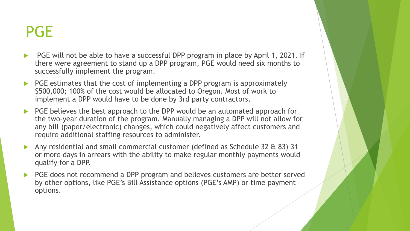### PGE

- ▶ PGE will not be able to have a successful DPP program in place by April 1, 2021. If there were agreement to stand up a DPP program, PGE would need six months to successfully implement the program.
- PGE estimates that the cost of implementing a DPP program is approximately \$500,000; 100% of the cost would be allocated to Oregon. Most of work to implement a DPP would have to be done by 3rd party contractors.
- PGE believes the best approach to the DPP would be an automated approach for the two-year duration of the program. Manually managing a DPP will not allow for any bill (paper/electronic) changes, which could negatively affect customers and require additional staffing resources to administer.
- Any residential and small commercial customer (defined as Schedule 32 & 83) 31 or more days in arrears with the ability to make regular monthly payments would qualify for a DPP.
- PGE does not recommend a DPP program and believes customers are better served by other options, like PGE's Bill Assistance options (PGE's AMP) or time payment options.